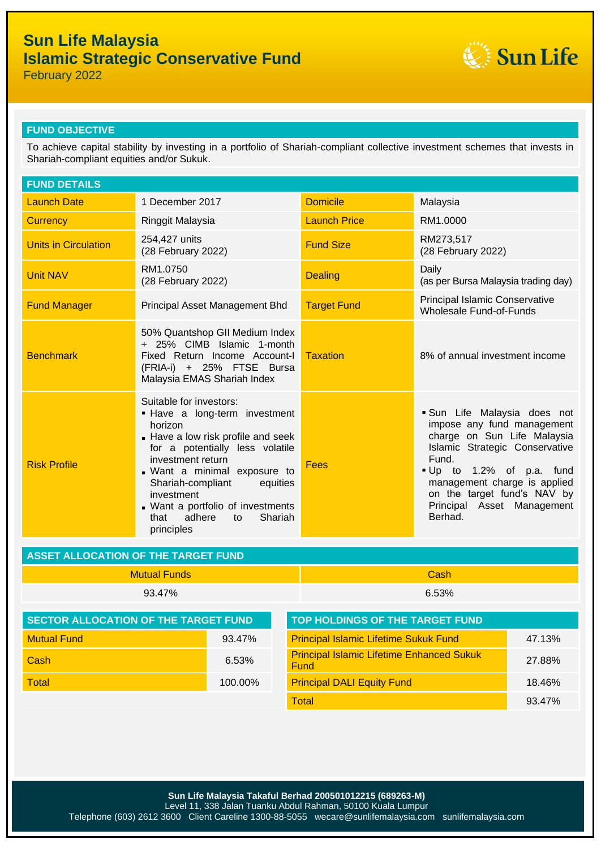# **Sun Life Malaysia Islamic Strategic Conservative Fund**



February 2022

#### **FUND OBJECTIVE**

To achieve capital stability by investing in a portfolio of Shariah-compliant collective investment schemes that invests in Shariah-compliant equities and/or Sukuk.

| <b>FUND DETAILS</b>                                                                   |                                                                                                                                                                                                                                                                                                                                      |                                                          |                                                                                                                                                                                                                                                                       |        |  |  |  |
|---------------------------------------------------------------------------------------|--------------------------------------------------------------------------------------------------------------------------------------------------------------------------------------------------------------------------------------------------------------------------------------------------------------------------------------|----------------------------------------------------------|-----------------------------------------------------------------------------------------------------------------------------------------------------------------------------------------------------------------------------------------------------------------------|--------|--|--|--|
| <b>Launch Date</b>                                                                    | 1 December 2017                                                                                                                                                                                                                                                                                                                      | <b>Domicile</b>                                          | Malaysia                                                                                                                                                                                                                                                              |        |  |  |  |
| <b>Currency</b>                                                                       | Ringgit Malaysia                                                                                                                                                                                                                                                                                                                     | <b>Launch Price</b>                                      | RM1.0000                                                                                                                                                                                                                                                              |        |  |  |  |
| <b>Units in Circulation</b>                                                           | 254,427 units<br>(28 February 2022)                                                                                                                                                                                                                                                                                                  | <b>Fund Size</b>                                         | RM273,517<br>(28 February 2022)                                                                                                                                                                                                                                       |        |  |  |  |
| <b>Unit NAV</b>                                                                       | RM1.0750<br>(28 February 2022)                                                                                                                                                                                                                                                                                                       | <b>Dealing</b>                                           | Daily<br>(as per Bursa Malaysia trading day)                                                                                                                                                                                                                          |        |  |  |  |
| <b>Fund Manager</b>                                                                   | Principal Asset Management Bhd                                                                                                                                                                                                                                                                                                       | <b>Target Fund</b>                                       | <b>Principal Islamic Conservative</b><br><b>Wholesale Fund-of-Funds</b>                                                                                                                                                                                               |        |  |  |  |
| <b>Benchmark</b>                                                                      | 50% Quantshop GII Medium Index<br>+ 25% CIMB Islamic 1-month<br>Fixed Return Income Account-I<br>(FRIA-i) + 25% FTSE Bursa<br>Malaysia EMAS Shariah Index                                                                                                                                                                            | <b>Taxation</b>                                          | 8% of annual investment income                                                                                                                                                                                                                                        |        |  |  |  |
| <b>Risk Profile</b>                                                                   | Suitable for investors:<br>- Have a long-term investment<br>horizon<br>Have a low risk profile and seek<br>for a potentially less volatile<br>investment return<br>. Want a minimal exposure to<br>equities<br>Shariah-compliant<br>investment<br>. Want a portfolio of investments<br>adhere<br>Shariah<br>that<br>to<br>principles | <b>Fees</b>                                              | Sun Life Malaysia does not<br>impose any fund management<br>charge on Sun Life Malaysia<br>Islamic Strategic Conservative<br>Fund.<br>Up to 1.2% of p.a. fund<br>management charge is applied<br>on the target fund's NAV by<br>Principal Asset Management<br>Berhad. |        |  |  |  |
| <b>ASSET ALLOCATION OF THE TARGET FUND</b>                                            |                                                                                                                                                                                                                                                                                                                                      |                                                          |                                                                                                                                                                                                                                                                       |        |  |  |  |
|                                                                                       | <b>Mutual Funds</b>                                                                                                                                                                                                                                                                                                                  | Cash                                                     |                                                                                                                                                                                                                                                                       |        |  |  |  |
|                                                                                       | 93.47%                                                                                                                                                                                                                                                                                                                               | 6.53%                                                    |                                                                                                                                                                                                                                                                       |        |  |  |  |
| <b>TOP HOLDINGS OF THE TARGET FUND</b><br><b>SECTOR ALLOCATION OF THE TARGET FUND</b> |                                                                                                                                                                                                                                                                                                                                      |                                                          |                                                                                                                                                                                                                                                                       |        |  |  |  |
| <b>Mutual Fund</b><br>93.47%                                                          |                                                                                                                                                                                                                                                                                                                                      | <b>Principal Islamic Lifetime Sukuk Fund</b>             | 47.13%                                                                                                                                                                                                                                                                |        |  |  |  |
| Cash<br>6.53%                                                                         |                                                                                                                                                                                                                                                                                                                                      | <b>Principal Islamic Lifetime Enhanced Sukuk</b><br>Fund | 27.88%                                                                                                                                                                                                                                                                |        |  |  |  |
| <b>Total</b><br>100.00%                                                               |                                                                                                                                                                                                                                                                                                                                      | <b>Principal DALI Equity Fund</b>                        | 18.46%                                                                                                                                                                                                                                                                |        |  |  |  |
|                                                                                       |                                                                                                                                                                                                                                                                                                                                      | <b>Total</b>                                             |                                                                                                                                                                                                                                                                       | 93.47% |  |  |  |

Level 11, 338 Jalan Tuanku Abdul Rahman, 50100 Kuala Lumpur

Telephone (603) 2612 3600 Client Careline 1300-88-5055 wecare@sunlifemalaysia.com sunlifemalaysia.com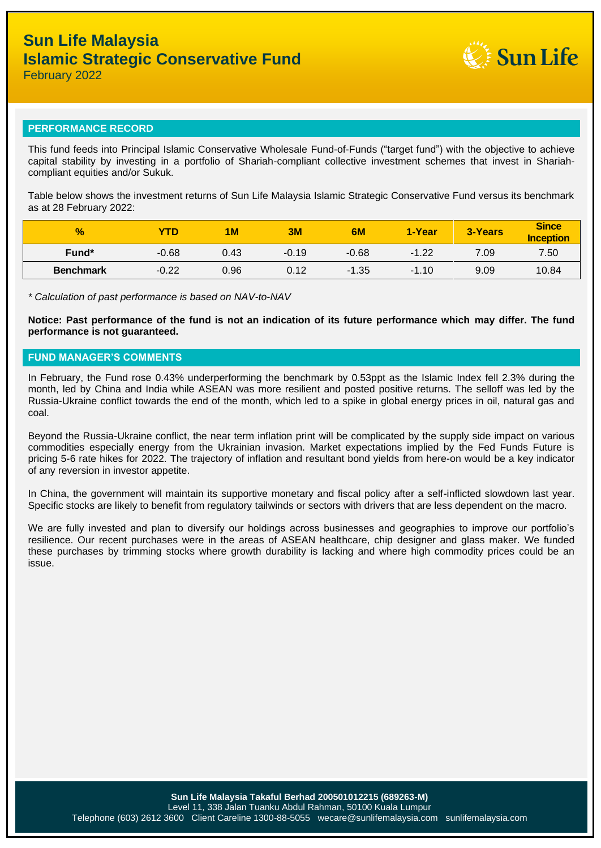

#### **PERFORMANCE RECORD**

This fund feeds into Principal Islamic Conservative Wholesale Fund-of-Funds ("target fund") with the objective to achieve capital stability by investing in a portfolio of Shariah-compliant collective investment schemes that invest in Shariahcompliant equities and/or Sukuk.

Table below shows the investment returns of Sun Life Malaysia Islamic Strategic Conservative Fund versus its benchmark as at 28 February 2022:

| $\frac{1}{2}$    | YTD     | 1 M  | 3M      | 6M      | 1-Year  | <b>3-Years</b> | <b>Since</b><br><b>Inception</b> |
|------------------|---------|------|---------|---------|---------|----------------|----------------------------------|
| Fund*            | $-0.68$ | 0.43 | $-0.19$ | $-0.68$ | $-1.22$ | 7.09           | 7.50                             |
| <b>Benchmark</b> | $-0.22$ | 0.96 | 0.12    | $-1.35$ | $-1.10$ | 9.09           | 10.84                            |

*\* Calculation of past performance is based on NAV-to-NAV*

**Notice: Past performance of the fund is not an indication of its future performance which may differ. The fund performance is not guaranteed.**

#### **FUND MANAGER'S COMMENTS**

In February, the Fund rose 0.43% underperforming the benchmark by 0.53ppt as the Islamic Index fell 2.3% during the month, led by China and India while ASEAN was more resilient and posted positive returns. The selloff was led by the Russia-Ukraine conflict towards the end of the month, which led to a spike in global energy prices in oil, natural gas and coal.

Beyond the Russia-Ukraine conflict, the near term inflation print will be complicated by the supply side impact on various commodities especially energy from the Ukrainian invasion. Market expectations implied by the Fed Funds Future is pricing 5-6 rate hikes for 2022. The trajectory of inflation and resultant bond yields from here-on would be a key indicator of any reversion in investor appetite.

In China, the government will maintain its supportive monetary and fiscal policy after a self-inflicted slowdown last year. Specific stocks are likely to benefit from regulatory tailwinds or sectors with drivers that are less dependent on the macro.

We are fully invested and plan to diversify our holdings across businesses and geographies to improve our portfolio's resilience. Our recent purchases were in the areas of ASEAN healthcare, chip designer and glass maker. We funded these purchases by trimming stocks where growth durability is lacking and where high commodity prices could be an issue.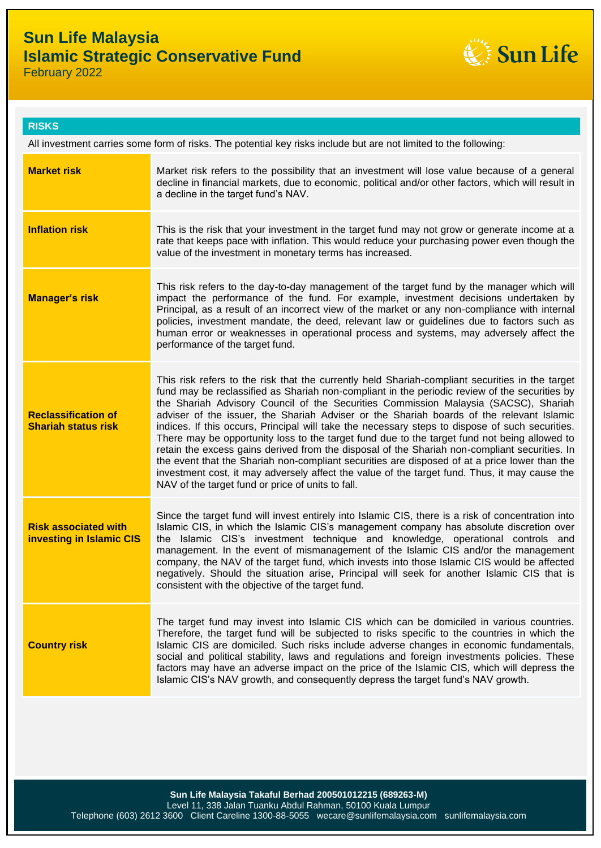

**RISKS**

All investment carries some form of risks. The potential key risks include but are not limited to the following:

| <b>Market risk</b>                                       | Market risk refers to the possibility that an investment will lose value because of a general<br>decline in financial markets, due to economic, political and/or other factors, which will result in<br>a decline in the target fund's NAV.                                                                                                                                                                                                                                                                                                                                                                                                                                                                                                                                                                                                                                                                                                    |
|----------------------------------------------------------|------------------------------------------------------------------------------------------------------------------------------------------------------------------------------------------------------------------------------------------------------------------------------------------------------------------------------------------------------------------------------------------------------------------------------------------------------------------------------------------------------------------------------------------------------------------------------------------------------------------------------------------------------------------------------------------------------------------------------------------------------------------------------------------------------------------------------------------------------------------------------------------------------------------------------------------------|
| <b>Inflation risk</b>                                    | This is the risk that your investment in the target fund may not grow or generate income at a<br>rate that keeps pace with inflation. This would reduce your purchasing power even though the<br>value of the investment in monetary terms has increased.                                                                                                                                                                                                                                                                                                                                                                                                                                                                                                                                                                                                                                                                                      |
| <b>Manager's risk</b>                                    | This risk refers to the day-to-day management of the target fund by the manager which will<br>impact the performance of the fund. For example, investment decisions undertaken by<br>Principal, as a result of an incorrect view of the market or any non-compliance with internal<br>policies, investment mandate, the deed, relevant law or guidelines due to factors such as<br>human error or weaknesses in operational process and systems, may adversely affect the<br>performance of the target fund.                                                                                                                                                                                                                                                                                                                                                                                                                                   |
| <b>Reclassification of</b><br><b>Shariah status risk</b> | This risk refers to the risk that the currently held Shariah-compliant securities in the target<br>fund may be reclassified as Shariah non-compliant in the periodic review of the securities by<br>the Shariah Advisory Council of the Securities Commission Malaysia (SACSC), Shariah<br>adviser of the issuer, the Shariah Adviser or the Shariah boards of the relevant Islamic<br>indices. If this occurs, Principal will take the necessary steps to dispose of such securities.<br>There may be opportunity loss to the target fund due to the target fund not being allowed to<br>retain the excess gains derived from the disposal of the Shariah non-compliant securities. In<br>the event that the Shariah non-compliant securities are disposed of at a price lower than the<br>investment cost, it may adversely affect the value of the target fund. Thus, it may cause the<br>NAV of the target fund or price of units to fall. |
| <b>Risk associated with</b><br>investing in Islamic CIS  | Since the target fund will invest entirely into Islamic CIS, there is a risk of concentration into<br>Islamic CIS, in which the Islamic CIS's management company has absolute discretion over<br>the Islamic CIS's investment technique and knowledge, operational controls and<br>management. In the event of mismanagement of the Islamic CIS and/or the management<br>company, the NAV of the target fund, which invests into those Islamic CIS would be affected<br>negatively. Should the situation arise, Principal will seek for another Islamic CIS that is<br>consistent with the objective of the target fund.                                                                                                                                                                                                                                                                                                                       |
| <b>Country risk</b>                                      | The target fund may invest into Islamic CIS which can be domiciled in various countries.<br>Therefore, the target fund will be subjected to risks specific to the countries in which the<br>Islamic CIS are domiciled. Such risks include adverse changes in economic fundamentals,<br>social and political stability, laws and regulations and foreign investments policies. These<br>factors may have an adverse impact on the price of the Islamic CIS, which will depress the<br>Islamic CIS's NAV growth, and consequently depress the target fund's NAV growth.                                                                                                                                                                                                                                                                                                                                                                          |